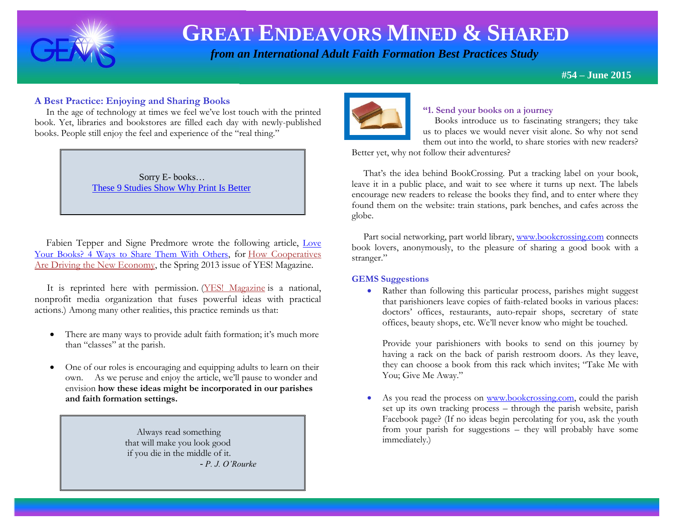

l.

# **GREAT ENDEAVORS MINED & SHARED**

 *from an International Adult Faith Formation Best Practices Study*

**#54 – June 2015** 

## **A Best Practice: Enjoying and Sharing Books**

 In the age of technology at times we feel we've lost touch with the printed book. Yet, libraries and bookstores are filled each day with newly-published books. People still enjoy the feel and experience of the "real thing."

> Sorry E- books… [These 9 Studies Show Why Print Is Better](http://www.huffingtonpost.com/2015/02/27/print-ebooks-studies_n_6762674.html?ncid=fcbklnkushpmg00000063)

Fabien Tepper and Signe Predmore wrote the following article, Love [Your Books? 4 Ways to Share Them With Others,](http://www.yesmagazine.org/issues/how-cooperatives-are-driving-the-new-economy/love-your-books-4-ways-to-share-them-with-others) for [How Cooperatives](http://www.yesmagazine.org/issues/how-cooperatives-are-driving-the-new-economy/how-cooperatives-are-driving-the-new-economy)  [Are Driving the New Economy,](http://www.yesmagazine.org/issues/how-cooperatives-are-driving-the-new-economy/how-cooperatives-are-driving-the-new-economy) the Spring 2013 issue of YES! Magazine.

 It is reprinted here with permission. [\(YES! Magazine](http://www.yesmagazine.org/) is a national, nonprofit media organization that fuses powerful ideas with practical actions.) Among many other realities, this practice reminds us that:

- There are many ways to provide adult faith formation; it's much more than "classes" at the parish.
- One of our roles is encouraging and equipping adults to learn on their own. As we peruse and enjoy the article, we'll pause to wonder and envision **how these ideas might be incorporated in our parishes and faith formation settings.**

 Always read something that will make you look good if you die in the middle of it. - *P. J. O'Rourke* 



### **"1. Send your books on a journey**

 Books introduce us to fascinating strangers; they take us to places we would never visit alone. So why not send them out into the world, to share stories with new readers?

Better yet, why not follow their adventures?

 That's the idea behind BookCrossing. Put a tracking label on your book, leave it in a public place, and wait to see where it turns up next. The labels encourage new readers to release the books they find, and to enter where they found them on the website: train stations, park benches, and cafes across the globe.

 Part social networking, part world library, [www.bookcrossing.com](http://www.bookcrossing.com/) connects book lovers, anonymously, to the pleasure of sharing a good book with a stranger."

### **GEMS Suggestions**

• Rather than following this particular process, parishes might suggest that parishioners leave copies of faith-related books in various places: doctors' offices, restaurants, auto-repair shops, secretary of state offices, beauty shops, etc. We'll never know who might be touched.

Provide your parishioners with books to send on this journey by having a rack on the back of parish restroom doors. As they leave, they can choose a book from this rack which invites; "Take Me with You; Give Me Away."

As you read the process on [www.bookcrossing.com,](http://www.bookcrossing.com/) could the parish set up its own tracking process – through the parish website, parish Facebook page? (If no ideas begin percolating for you, ask the youth from your parish for suggestions – they will probably have some immediately.)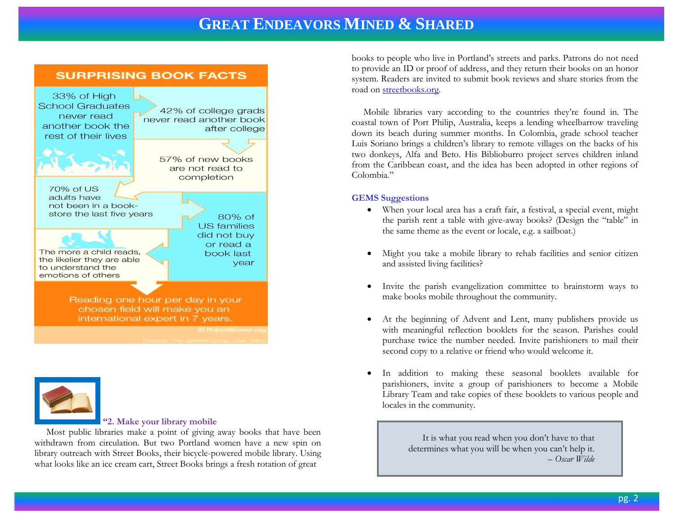



#### **"2. Make your library mobile**

 Most public libraries make a point of giving away books that have been withdrawn from circulation. But two Portland women have a new spin on library outreach with Street Books, their bicycle-powered mobile library. Using what looks like an ice cream cart, Street Books brings a fresh rotation of great

books to people who live in Portland's streets and parks. Patrons do not need to provide an ID or proof of address, and they return their books on an honor system. Readers are invited to submit book reviews and share stories from the road o[n streetbooks.org.](http://streetbooks.org/)

 Mobile libraries vary according to the countries they're found in. The coastal town of Port Philip, Australia, keeps a lending wheelbarrow traveling down its beach during summer months. In Colombia, grade school teacher Luis Soriano brings a children's library to remote villages on the backs of his two donkeys, Alfa and Beto. His Biblioburro project serves children inland from the Caribbean coast, and the idea has been adopted in other regions of Colombia."

#### **GEMS Suggestions**

- When your local area has a craft fair, a festival, a special event, might the parish rent a table with give-away books? (Design the "table" in the same theme as the event or locale, e.g. a sailboat.)
- Might you take a mobile library to rehab facilities and senior citizen and assisted living facilities?
- Invite the parish evangelization committee to brainstorm ways to make books mobile throughout the community.
- At the beginning of Advent and Lent, many publishers provide us with meaningful reflection booklets for the season. Parishes could purchase twice the number needed. Invite parishioners to mail their second copy to a relative or friend who would welcome it.
- In addition to making these seasonal booklets available for parishioners, invite a group of parishioners to become a Mobile Library Team and take copies of these booklets to various people and locales in the community.

 It is what you read when you don't have to that determines what you will be when you can't help it. *– Oscar Wilde*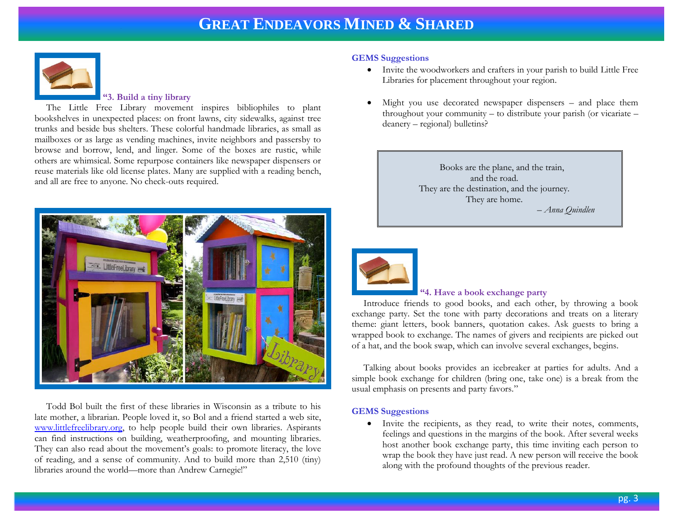

#### **"3. Build a tiny library**

 The Little Free Library movement inspires bibliophiles to plant bookshelves in unexpected places: on front lawns, city sidewalks, against tree trunks and beside bus shelters. These colorful handmade libraries, as small as mailboxes or as large as vending machines, invite neighbors and passersby to browse and borrow, lend, and linger. Some of the boxes are rustic, while others are whimsical. Some repurpose containers like newspaper dispensers or reuse materials like old license plates. Many are supplied with a reading bench, and all are free to anyone. No check-outs required.



 Todd Bol built the first of these libraries in Wisconsin as a tribute to his late mother, a librarian. People loved it, so Bol and a friend started a web site, [www.littlefreelibrary.org,](http://www.littlefreelibrary.org/) to help people build their own libraries. Aspirants can find instructions on building, weatherproofing, and mounting libraries. They can also read about the movement's goals: to promote literacy, the love of reading, and a sense of community. And to build more than 2,510 (tiny) libraries around the world—more than Andrew Carnegie!"

#### **GEMS Suggestions**

- Invite the woodworkers and crafters in your parish to build Little Free Libraries for placement throughout your region.
- Might you use decorated newspaper dispensers and place them throughout your community – to distribute your parish (or vicariate – deanery – regional) bulletins?

Books are the plane, and the train, and the road. They are the destination, and the journey. They are home. *– Anna Quindlen*



### **"4. Have a book exchange party**

 Introduce friends to good books, and each other, by throwing a book exchange party. Set the tone with party decorations and treats on a literary theme: giant letters, book banners, quotation cakes. Ask guests to bring a wrapped book to exchange. The names of givers and recipients are picked out of a hat, and the book swap, which can involve several exchanges, begins.

 Talking about books provides an icebreaker at parties for adults. And a simple book exchange for children (bring one, take one) is a break from the usual emphasis on presents and party favors."

#### **GEMS Suggestions**

 Invite the recipients, as they read, to write their notes, comments, feelings and questions in the margins of the book. After several weeks host another book exchange party, this time inviting each person to wrap the book they have just read. A new person will receive the book along with the profound thoughts of the previous reader.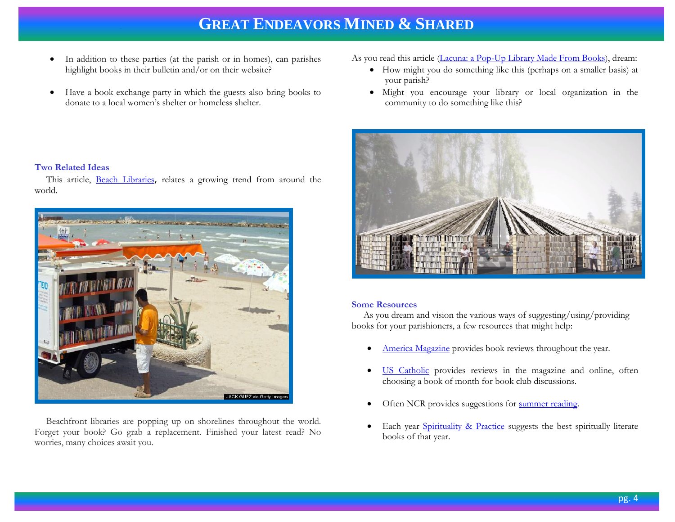- In addition to these parties (at the parish or in homes), can parishes highlight books in their bulletin and/or on their website?
- Have a book exchange party in which the guests also bring books to donate to a local women's shelter or homeless shelter.

As you read this article [\(Lacuna: a Pop-Up Library Made From Books\)](http://www.shareable.net/blog/meet-lacuna-a-pop-up-library-made-from-books), dream:

- How might you do something like this (perhaps on a smaller basis) at your parish?
- Might you encourage your library or local organization in the community to do something like this?



#### **Some Resources**

 As you dream and vision the various ways of suggesting/using/providing books for your parishioners, a few resources that might help:

- [America Magazine](http://americamagazine.org/sections/books) provides book reviews throughout the year.
- [US Catholic](http://www.uscatholic.org/topics/reviews) provides reviews in the magazine and online, often choosing a book of month for book club discussions.
- Often NCR provides suggestions for [summer reading.](http://ncronline.org/news/art-media/10-summer-books-are-not-about-pope-francis)
- Each year [Spirituality & Practice](http://www.spiritualityandpractice.com/books/features.php?id=26449) suggests the best spiritually literate books of that year.

#### **Two Related Ideas**

 This article, [Beach Libraries](http://www.huffingtonpost.com/2014/07/14/beach-libraries_n_5574726.html?ncid=fcbklnkushpmg00000063), relates a growing trend from around the world.



 Beachfront libraries are popping up on shorelines throughout the world. Forget your book? Go grab a replacement. Finished your latest read? No worries, many choices await you.